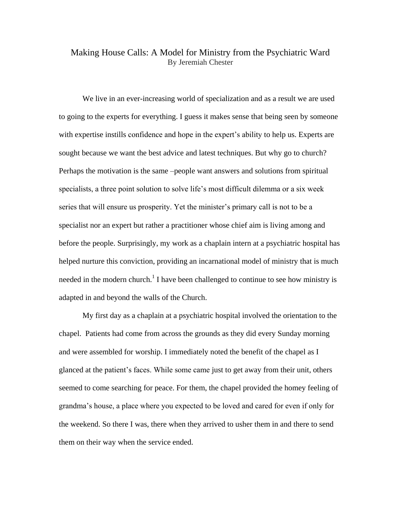## Making House Calls: A Model for Ministry from the Psychiatric Ward By Jeremiah Chester

We live in an ever-increasing world of specialization and as a result we are used to going to the experts for everything. I guess it makes sense that being seen by someone with expertise instills confidence and hope in the expert's ability to help us. Experts are sought because we want the best advice and latest techniques. But why go to church? Perhaps the motivation is the same –people want answers and solutions from spiritual specialists, a three point solution to solve life's most difficult dilemma or a six week series that will ensure us prosperity. Yet the minister's primary call is not to be a specialist nor an expert but rather a practitioner whose chief aim is living among and before the people. Surprisingly, my work as a chaplain intern at a psychiatric hospital has helped nurture this conviction, providing an incarnational model of ministry that is much needed in the modern church.<sup>1</sup> I have been challenged to continue to see how ministry is adapted in and beyond the walls of the Church.

My first day as a chaplain at a psychiatric hospital involved the orientation to the chapel. Patients had come from across the grounds as they did every Sunday morning and were assembled for worship. I immediately noted the benefit of the chapel as I glanced at the patient's faces. While some came just to get away from their unit, others seemed to come searching for peace. For them, the chapel provided the homey feeling of grandma's house, a place where you expected to be loved and cared for even if only for the weekend. So there I was, there when they arrived to usher them in and there to send them on their way when the service ended.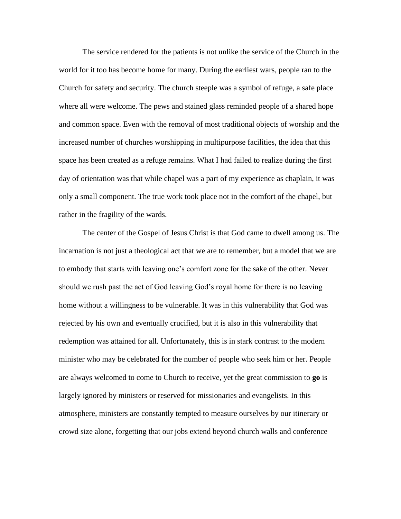The service rendered for the patients is not unlike the service of the Church in the world for it too has become home for many. During the earliest wars, people ran to the Church for safety and security. The church steeple was a symbol of refuge, a safe place where all were welcome. The pews and stained glass reminded people of a shared hope and common space. Even with the removal of most traditional objects of worship and the increased number of churches worshipping in multipurpose facilities, the idea that this space has been created as a refuge remains. What I had failed to realize during the first day of orientation was that while chapel was a part of my experience as chaplain, it was only a small component. The true work took place not in the comfort of the chapel, but rather in the fragility of the wards.

The center of the Gospel of Jesus Christ is that God came to dwell among us. The incarnation is not just a theological act that we are to remember, but a model that we are to embody that starts with leaving one's comfort zone for the sake of the other. Never should we rush past the act of God leaving God's royal home for there is no leaving home without a willingness to be vulnerable. It was in this vulnerability that God was rejected by his own and eventually crucified, but it is also in this vulnerability that redemption was attained for all. Unfortunately, this is in stark contrast to the modern minister who may be celebrated for the number of people who seek him or her. People are always welcomed to come to Church to receive, yet the great commission to **go** is largely ignored by ministers or reserved for missionaries and evangelists. In this atmosphere, ministers are constantly tempted to measure ourselves by our itinerary or crowd size alone, forgetting that our jobs extend beyond church walls and conference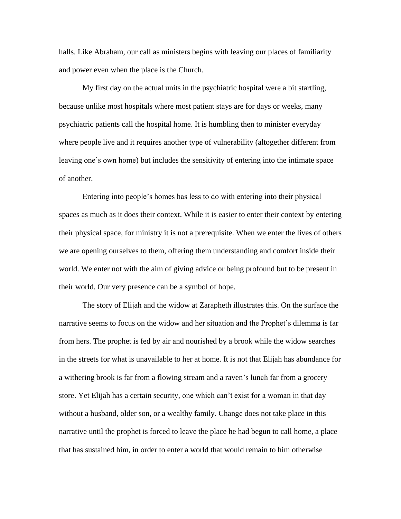halls. Like Abraham, our call as ministers begins with leaving our places of familiarity and power even when the place is the Church.

My first day on the actual units in the psychiatric hospital were a bit startling, because unlike most hospitals where most patient stays are for days or weeks, many psychiatric patients call the hospital home. It is humbling then to minister everyday where people live and it requires another type of vulnerability (altogether different from leaving one's own home) but includes the sensitivity of entering into the intimate space of another.

Entering into people's homes has less to do with entering into their physical spaces as much as it does their context. While it is easier to enter their context by entering their physical space, for ministry it is not a prerequisite. When we enter the lives of others we are opening ourselves to them, offering them understanding and comfort inside their world. We enter not with the aim of giving advice or being profound but to be present in their world. Our very presence can be a symbol of hope.

The story of Elijah and the widow at Zarapheth illustrates this. On the surface the narrative seems to focus on the widow and her situation and the Prophet's dilemma is far from hers. The prophet is fed by air and nourished by a brook while the widow searches in the streets for what is unavailable to her at home. It is not that Elijah has abundance for a withering brook is far from a flowing stream and a raven's lunch far from a grocery store. Yet Elijah has a certain security, one which can't exist for a woman in that day without a husband, older son, or a wealthy family. Change does not take place in this narrative until the prophet is forced to leave the place he had begun to call home, a place that has sustained him, in order to enter a world that would remain to him otherwise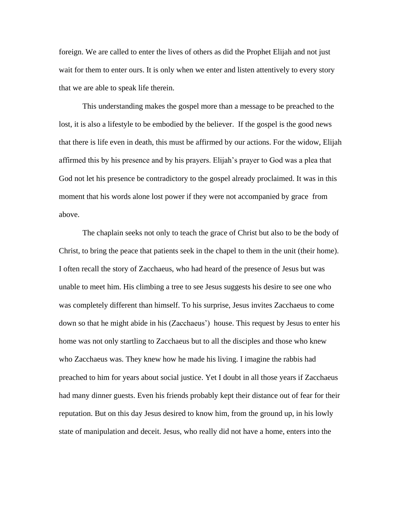foreign. We are called to enter the lives of others as did the Prophet Elijah and not just wait for them to enter ours. It is only when we enter and listen attentively to every story that we are able to speak life therein.

This understanding makes the gospel more than a message to be preached to the lost, it is also a lifestyle to be embodied by the believer. If the gospel is the good news that there is life even in death, this must be affirmed by our actions. For the widow, Elijah affirmed this by his presence and by his prayers. Elijah's prayer to God was a plea that God not let his presence be contradictory to the gospel already proclaimed. It was in this moment that his words alone lost power if they were not accompanied by grace from above.

The chaplain seeks not only to teach the grace of Christ but also to be the body of Christ, to bring the peace that patients seek in the chapel to them in the unit (their home). I often recall the story of Zacchaeus, who had heard of the presence of Jesus but was unable to meet him. His climbing a tree to see Jesus suggests his desire to see one who was completely different than himself. To his surprise, Jesus invites Zacchaeus to come down so that he might abide in his (Zacchaeus') house. This request by Jesus to enter his home was not only startling to Zacchaeus but to all the disciples and those who knew who Zacchaeus was. They knew how he made his living. I imagine the rabbis had preached to him for years about social justice. Yet I doubt in all those years if Zacchaeus had many dinner guests. Even his friends probably kept their distance out of fear for their reputation. But on this day Jesus desired to know him, from the ground up, in his lowly state of manipulation and deceit. Jesus, who really did not have a home, enters into the